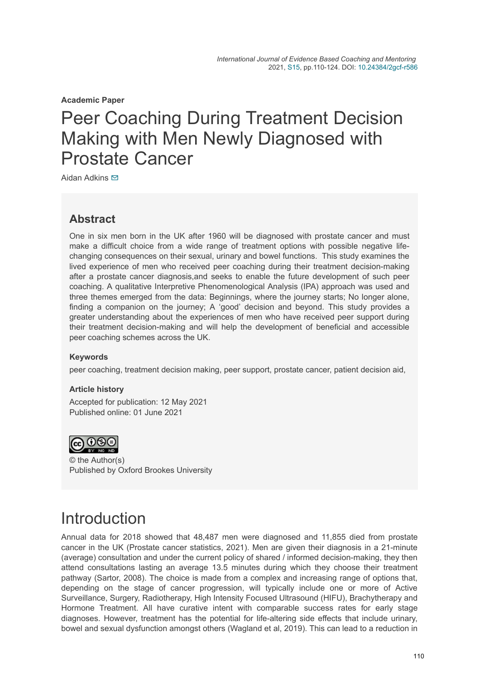**Academic Paper**

# Peer Coaching During Treatment Decision Making with Men Newly Diagnosed with Prostate Cancer

Aidan Adkins **⊠** 

### **Abstract**

One in six men born in the UK after 1960 will be diagnosed with prostate cancer and must make a difficult choice from a wide range of treatment options with possible negative lifechanging consequences on their sexual, urinary and bowel functions. This study examines the lived experience of men who received peer coaching during their treatment decision-making after a prostate cancer diagnosis,and seeks to enable the future development of such peer coaching. A qualitative Interpretive Phenomenological Analysis (IPA) approach was used and three themes emerged from the data: Beginnings, where the journey starts; No longer alone, finding a companion on the journey; A 'good' decision and beyond. This study provides a greater understanding about the experiences of men who have received peer support during their treatment decision-making and will help the development of beneficial and accessible peer coaching schemes across the UK.

#### **Keywords**

peer coaching, treatment decision making, peer support, prostate cancer, patient decision aid,

#### **Article history**

Accepted for publication: 12 May 2021 Published online: 01 June 2021



© the Author(s) Published by Oxford Brookes University

# **Introduction**

Annual data for 2018 showed that 48,487 men were diagnosed and 11,855 died from prostate cancer in the UK (Prostate cancer statistics, 2021). Men are given their diagnosis in a 21-minute (average) consultation and under the current policy of shared / informed decision-making, they then attend consultations lasting an average 13.5 minutes during which they choose their treatment pathway (Sartor, 2008). The choice is made from a complex and increasing range of options that, depending on the stage of cancer progression, will typically include one or more of Active Surveillance, Surgery, Radiotherapy, High Intensity Focused Ultrasound (HIFU), Brachytherapy and Hormone Treatment. All have curative intent with comparable success rates for early stage diagnoses. However, treatment has the potential for life-altering side effects that include urinary, bowel and sexual dysfunction amongst others (Wagland et al, 2019). This can lead to a reduction in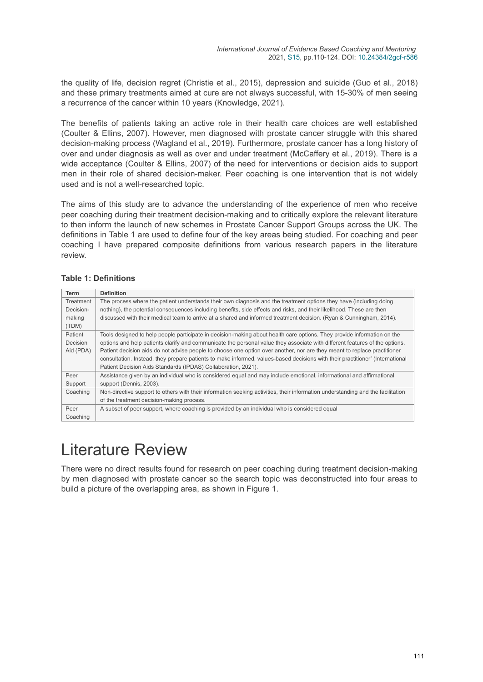the quality of life, decision regret (Christie et al., 2015), depression and suicide (Guo et al., 2018) and these primary treatments aimed at cure are not always successful, with 15-30% of men seeing a recurrence of the cancer within 10 years (Knowledge, 2021).

The benefits of patients taking an active role in their health care choices are well established (Coulter & Ellins, 2007). However, men diagnosed with prostate cancer struggle with this shared decision-making process (Wagland et al., 2019). Furthermore, prostate cancer has a long history of over and under diagnosis as well as over and under treatment (McCaffery et al., 2019). There is a wide acceptance (Coulter & Ellins, 2007) of the need for interventions or decision aids to support men in their role of shared decision-maker. Peer coaching is one intervention that is not widely used and is not a well-researched topic.

The aims of this study are to advance the understanding of the experience of men who receive peer coaching during their treatment decision-making and to critically explore the relevant literature to then inform the launch of new schemes in Prostate Cancer Support Groups across the UK. The definitions in Table 1 are used to define four of the key areas being studied. For coaching and peer coaching I have prepared composite definitions from various research papers in the literature review.

#### **Table 1: Definitions**

| <b>Term</b>     | <b>Definition</b>                                                                                                               |  |  |  |
|-----------------|---------------------------------------------------------------------------------------------------------------------------------|--|--|--|
|                 |                                                                                                                                 |  |  |  |
| Treatment       | The process where the patient understands their own diagnosis and the treatment options they have (including doing              |  |  |  |
| Decision-       | nothing), the potential consequences including benefits, side effects and risks, and their likelihood. These are then           |  |  |  |
| making          | discussed with their medical team to arrive at a shared and informed treatment decision. (Ryan & Cunningham, 2014).             |  |  |  |
| (TDM)           |                                                                                                                                 |  |  |  |
| Patient         | Tools designed to help people participate in decision-making about health care options. They provide information on the         |  |  |  |
| <b>Decision</b> | options and help patients clarify and communicate the personal value they associate with different features of the options.     |  |  |  |
| Aid (PDA)       | Patient decision aids do not advise people to choose one option over another, nor are they meant to replace practitioner        |  |  |  |
|                 | consultation. Instead, they prepare patients to make informed, values-based decisions with their practitioner' (International   |  |  |  |
|                 | Patient Decision Aids Standards (IPDAS) Collaboration, 2021).                                                                   |  |  |  |
| Peer            | Assistance given by an individual who is considered equal and may include emotional, informational and affirmational            |  |  |  |
| Support         | support (Dennis, 2003).                                                                                                         |  |  |  |
| Coaching        | Non-directive support to others with their information seeking activities, their information understanding and the facilitation |  |  |  |
|                 | of the treatment decision-making process.                                                                                       |  |  |  |
| Peer            | A subset of peer support, where coaching is provided by an individual who is considered equal                                   |  |  |  |
| Coaching        |                                                                                                                                 |  |  |  |

# Literature Review

There were no direct results found for research on peer coaching during treatment decision-making by men diagnosed with prostate cancer so the search topic was deconstructed into four areas to build a picture of the overlapping area, as shown in Figure 1.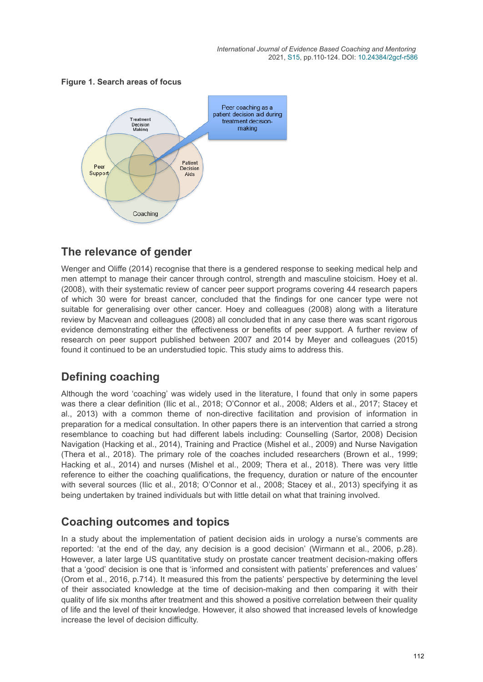#### **Figure 1. Search areas of focus**



## **The relevance of gender**

Wenger and Oliffe (2014) recognise that there is a gendered response to seeking medical help and men attempt to manage their cancer through control, strength and masculine stoicism. Hoey et al. (2008), with their systematic review of cancer peer support programs covering 44 research papers of which 30 were for breast cancer, concluded that the findings for one cancer type were not suitable for generalising over other cancer. Hoey and colleagues (2008) along with a literature review by Macvean and colleagues (2008) all concluded that in any case there was scant rigorous evidence demonstrating either the effectiveness or benefits of peer support. A further review of research on peer support published between 2007 and 2014 by Meyer and colleagues (2015) found it continued to be an understudied topic. This study aims to address this.

## **Defining coaching**

Although the word 'coaching' was widely used in the literature, I found that only in some papers was there a clear definition (Ilic et al., 2018; O'Connor et al., 2008; Alders et al., 2017; Stacey et al., 2013) with a common theme of non-directive facilitation and provision of information in preparation for a medical consultation. In other papers there is an intervention that carried a strong resemblance to coaching but had different labels including: Counselling (Sartor, 2008) Decision Navigation (Hacking et al., 2014), Training and Practice (Mishel et al., 2009) and Nurse Navigation (Thera et al., 2018). The primary role of the coaches included researchers (Brown et al., 1999; Hacking et al., 2014) and nurses (Mishel et al., 2009; Thera et al., 2018). There was very little reference to either the coaching qualifications, the frequency, duration or nature of the encounter with several sources (Ilic et al., 2018; O'Connor et al., 2008; Stacey et al., 2013) specifying it as being undertaken by trained individuals but with little detail on what that training involved.

## **Coaching outcomes and topics**

In a study about the implementation of patient decision aids in urology a nurse's comments are reported: 'at the end of the day, any decision is a good decision' (Wirmann et al., 2006, p.28). However, a later large US quantitative study on prostate cancer treatment decision-making offers that a 'good' decision is one that is 'informed and consistent with patients' preferences and values' (Orom et al., 2016, p.714). It measured this from the patients' perspective by determining the level of their associated knowledge at the time of decision-making and then comparing it with their quality of life six months after treatment and this showed a positive correlation between their quality of life and the level of their knowledge. However, it also showed that increased levels of knowledge increase the level of decision difficulty.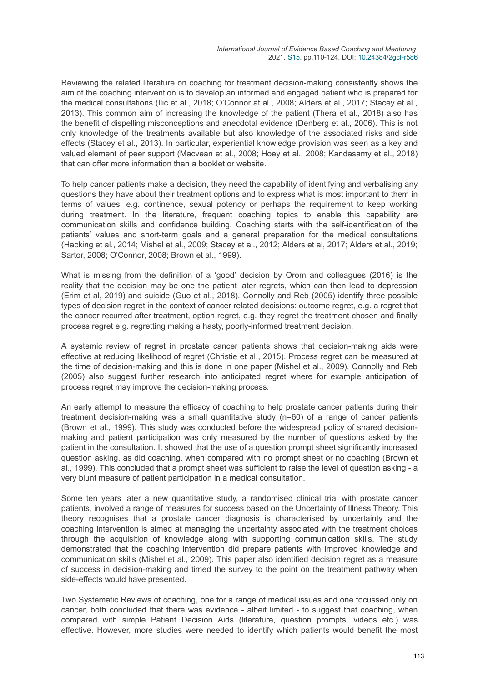Reviewing the related literature on coaching for treatment decision-making consistently shows the aim of the coaching intervention is to develop an informed and engaged patient who is prepared for the medical consultations (Ilic et al., 2018; O'Connor at al., 2008; Alders et al., 2017; Stacey et al., 2013). This common aim of increasing the knowledge of the patient (Thera et al., 2018) also has the benefit of dispelling misconceptions and anecdotal evidence (Denberg et al., 2006). This is not only knowledge of the treatments available but also knowledge of the associated risks and side effects (Stacey et al., 2013). In particular, experiential knowledge provision was seen as a key and valued element of peer support (Macvean et al., 2008; Hoey et al., 2008; Kandasamy et al., 2018) that can offer more information than a booklet or website.

To help cancer patients make a decision, they need the capability of identifying and verbalising any questions they have about their treatment options and to express what is most important to them in terms of values, e.g. continence, sexual potency or perhaps the requirement to keep working during treatment. In the literature, frequent coaching topics to enable this capability are communication skills and confidence building. Coaching starts with the self-identification of the patients' values and short-term goals and a general preparation for the medical consultations (Hacking et al., 2014; Mishel et al., 2009; Stacey et al., 2012; Alders et al, 2017; Alders et al., 2019; Sartor, 2008; O'Connor, 2008; Brown et al., 1999).

What is missing from the definition of a 'good' decision by Orom and colleagues (2016) is the reality that the decision may be one the patient later regrets, which can then lead to depression (Erim et al, 2019) and suicide (Guo et al., 2018). Connolly and Reb (2005) identify three possible types of decision regret in the context of cancer related decisions: outcome regret, e.g. a regret that the cancer recurred after treatment, option regret, e.g. they regret the treatment chosen and finally process regret e.g. regretting making a hasty, poorly-informed treatment decision.

A systemic review of regret in prostate cancer patients shows that decision-making aids were effective at reducing likelihood of regret (Christie et al., 2015). Process regret can be measured at the time of decision-making and this is done in one paper (Mishel et al., 2009). Connolly and Reb (2005) also suggest further research into anticipated regret where for example anticipation of process regret may improve the decision-making process.

An early attempt to measure the efficacy of coaching to help prostate cancer patients during their treatment decision-making was a small quantitative study (n=60) of a range of cancer patients (Brown et al., 1999). This study was conducted before the widespread policy of shared decisionmaking and patient participation was only measured by the number of questions asked by the patient in the consultation. It showed that the use of a question prompt sheet significantly increased question asking, as did coaching, when compared with no prompt sheet or no coaching (Brown et al., 1999). This concluded that a prompt sheet was sufficient to raise the level of question asking - a very blunt measure of patient participation in a medical consultation.

Some ten years later a new quantitative study, a randomised clinical trial with prostate cancer patients, involved a range of measures for success based on the Uncertainty of Illness Theory. This theory recognises that a prostate cancer diagnosis is characterised by uncertainty and the coaching intervention is aimed at managing the uncertainty associated with the treatment choices through the acquisition of knowledge along with supporting communication skills. The study demonstrated that the coaching intervention did prepare patients with improved knowledge and communication skills (Mishel et al., 2009). This paper also identified decision regret as a measure of success in decision-making and timed the survey to the point on the treatment pathway when side-effects would have presented.

Two Systematic Reviews of coaching, one for a range of medical issues and one focussed only on cancer, both concluded that there was evidence - albeit limited - to suggest that coaching, when compared with simple Patient Decision Aids (literature, question prompts, videos etc.) was effective. However, more studies were needed to identify which patients would benefit the most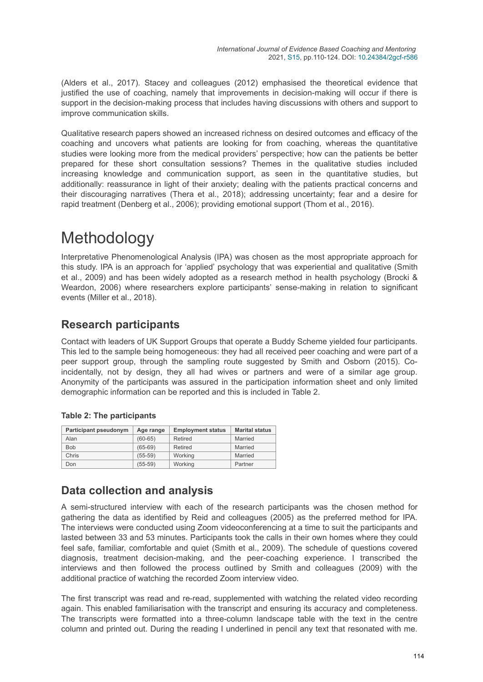(Alders et al., 2017). Stacey and colleagues (2012) emphasised the theoretical evidence that justified the use of coaching, namely that improvements in decision-making will occur if there is support in the decision-making process that includes having discussions with others and support to improve communication skills.

Qualitative research papers showed an increased richness on desired outcomes and efficacy of the coaching and uncovers what patients are looking for from coaching, whereas the quantitative studies were looking more from the medical providers' perspective; how can the patients be better prepared for these short consultation sessions? Themes in the qualitative studies included increasing knowledge and communication support, as seen in the quantitative studies, but additionally: reassurance in light of their anxiety; dealing with the patients practical concerns and their discouraging narratives (Thera et al., 2018); addressing uncertainty; fear and a desire for rapid treatment (Denberg et al., 2006); providing emotional support (Thom et al., 2016).

# **Methodology**

Interpretative Phenomenological Analysis (IPA) was chosen as the most appropriate approach for this study. IPA is an approach for 'applied' psychology that was experiential and qualitative (Smith et al., 2009) and has been widely adopted as a research method in health psychology (Brocki & Weardon, 2006) where researchers explore participants' sense-making in relation to significant events (Miller et al., 2018).

## **Research participants**

Contact with leaders of UK Support Groups that operate a Buddy Scheme yielded four participants. This led to the sample being homogeneous: they had all received peer coaching and were part of a peer support group, through the sampling route suggested by Smith and Osborn (2015). Coincidentally, not by design, they all had wives or partners and were of a similar age group. Anonymity of the participants was assured in the participation information sheet and only limited demographic information can be reported and this is included in Table 2.

#### **Table 2: The participants**

| Participant pseudonym | Age range   | <b>Employment status</b> | <b>Marital status</b> |
|-----------------------|-------------|--------------------------|-----------------------|
| Alan                  | $(60 - 65)$ | Retired                  | Married               |
| <b>Bob</b>            | $(65-69)$   | Retired                  | Married               |
| Chris                 | $(55-59)$   | Working                  | Married               |
| Don                   | $(55-59)$   | Working                  | Partner               |

## **Data collection and analysis**

A semi-structured interview with each of the research participants was the chosen method for gathering the data as identified by Reid and colleagues (2005) as the preferred method for IPA. The interviews were conducted using Zoom videoconferencing at a time to suit the participants and lasted between 33 and 53 minutes. Participants took the calls in their own homes where they could feel safe, familiar, comfortable and quiet (Smith et al., 2009). The schedule of questions covered diagnosis, treatment decision-making, and the peer-coaching experience. I transcribed the interviews and then followed the process outlined by Smith and colleagues (2009) with the additional practice of watching the recorded Zoom interview video.

The first transcript was read and re-read, supplemented with watching the related video recording again. This enabled familiarisation with the transcript and ensuring its accuracy and completeness. The transcripts were formatted into a three-column landscape table with the text in the centre column and printed out. During the reading I underlined in pencil any text that resonated with me.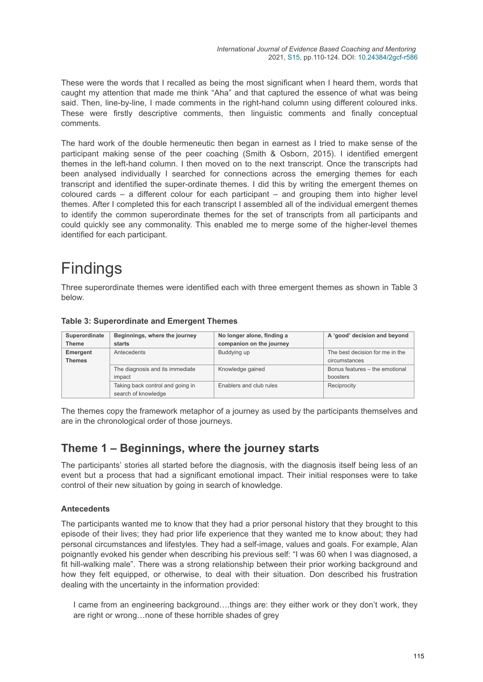These were the words that I recalled as being the most significant when I heard them, words that caught my attention that made me think "Aha" and that captured the essence of what was being said. Then, line-by-line, I made comments in the right-hand column using different coloured inks. These were firstly descriptive comments, then linguistic comments and finally conceptual comments.

The hard work of the double hermeneutic then began in earnest as I tried to make sense of the participant making sense of the peer coaching (Smith & Osborn, 2015). I identified emergent themes in the left-hand column. I then moved on to the next transcript. Once the transcripts had been analysed individually I searched for connections across the emerging themes for each transcript and identified the super-ordinate themes. I did this by writing the emergent themes on coloured cards – a different colour for each participant – and grouping them into higher level themes. After I completed this for each transcript I assembled all of the individual emergent themes to identify the common superordinate themes for the set of transcripts from all participants and could quickly see any commonality. This enabled me to merge some of the higher-level themes identified for each participant.

# Findings

Three superordinate themes were identified each with three emergent themes as shown in Table 3 below.

| Superordinate | Beginnings, where the journey    | No longer alone, finding a | A 'good' decision and beyond    |
|---------------|----------------------------------|----------------------------|---------------------------------|
| <b>Theme</b>  | starts                           | companion on the journey   |                                 |
| Emergent      | Antecedents                      | Buddying up                | The best decision for me in the |
| <b>Themes</b> |                                  |                            | circumstances                   |
|               | The diagnosis and its immediate  | Knowledge gained           | Bonus features - the emotional  |
|               | impact                           |                            | boosters                        |
|               | Taking back control and going in | Enablers and club rules    | Reciprocity                     |
|               | search of knowledge              |                            |                                 |

#### **Table 3: Superordinate and Emergent Themes**

The themes copy the framework metaphor of a journey as used by the participants themselves and are in the chronological order of those journeys.

## **Theme 1 – Beginnings, where the journey starts**

The participants' stories all started before the diagnosis, with the diagnosis itself being less of an event but a process that had a significant emotional impact. Their initial responses were to take control of their new situation by going in search of knowledge.

#### **Antecedents**

The participants wanted me to know that they had a prior personal history that they brought to this episode of their lives; they had prior life experience that they wanted me to know about; they had personal circumstances and lifestyles. They had a self-image, values and goals. For example, Alan poignantly evoked his gender when describing his previous self: "I was 60 when I was diagnosed, a fit hill-walking male". There was a strong relationship between their prior working background and how they felt equipped, or otherwise, to deal with their situation. Don described his frustration dealing with the uncertainty in the information provided:

I came from an engineering background….things are: they either work or they don't work, they are right or wrong…none of these horrible shades of grey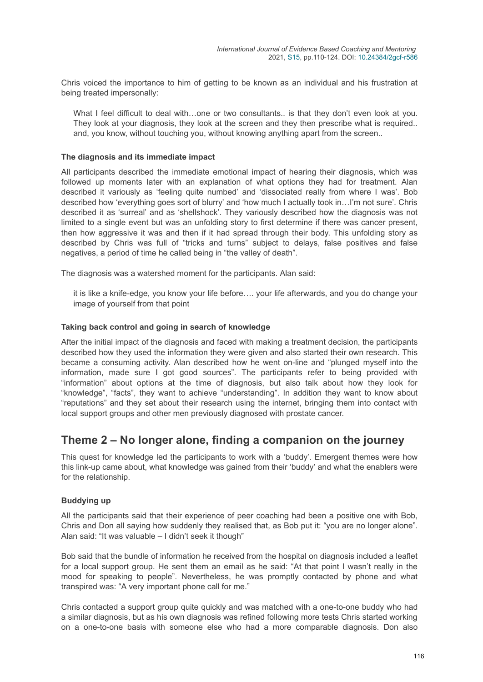Chris voiced the importance to him of getting to be known as an individual and his frustration at being treated impersonally:

What I feel difficult to deal with…one or two consultants.. is that they don't even look at you. They look at your diagnosis, they look at the screen and they then prescribe what is required.. and, you know, without touching you, without knowing anything apart from the screen..

#### **The diagnosis and its immediate impact**

All participants described the immediate emotional impact of hearing their diagnosis, which was followed up moments later with an explanation of what options they had for treatment. Alan described it variously as 'feeling quite numbed' and 'dissociated really from where I was'. Bob described how 'everything goes sort of blurry' and 'how much I actually took in…I'm not sure'. Chris described it as 'surreal' and as 'shellshock'. They variously described how the diagnosis was not limited to a single event but was an unfolding story to first determine if there was cancer present, then how aggressive it was and then if it had spread through their body. This unfolding story as described by Chris was full of "tricks and turns" subject to delays, false positives and false negatives, a period of time he called being in "the valley of death".

The diagnosis was a watershed moment for the participants. Alan said:

it is like a knife-edge, you know your life before…. your life afterwards, and you do change your image of yourself from that point

#### **Taking back control and going in search of knowledge**

After the initial impact of the diagnosis and faced with making a treatment decision, the participants described how they used the information they were given and also started their own research. This became a consuming activity. Alan described how he went on-line and "plunged myself into the information, made sure I got good sources". The participants refer to being provided with "information" about options at the time of diagnosis, but also talk about how they look for "knowledge", "facts", they want to achieve "understanding". In addition they want to know about "reputations" and they set about their research using the internet, bringing them into contact with local support groups and other men previously diagnosed with prostate cancer.

## **Theme 2 – No longer alone, finding a companion on the journey**

This quest for knowledge led the participants to work with a 'buddy'. Emergent themes were how this link-up came about, what knowledge was gained from their 'buddy' and what the enablers were for the relationship.

#### **Buddying up**

All the participants said that their experience of peer coaching had been a positive one with Bob, Chris and Don all saying how suddenly they realised that, as Bob put it: "you are no longer alone". Alan said: "It was valuable – I didn't seek it though"

Bob said that the bundle of information he received from the hospital on diagnosis included a leaflet for a local support group. He sent them an email as he said: "At that point I wasn't really in the mood for speaking to people". Nevertheless, he was promptly contacted by phone and what transpired was: "A very important phone call for me."

Chris contacted a support group quite quickly and was matched with a one-to-one buddy who had a similar diagnosis, but as his own diagnosis was refined following more tests Chris started working on a one-to-one basis with someone else who had a more comparable diagnosis. Don also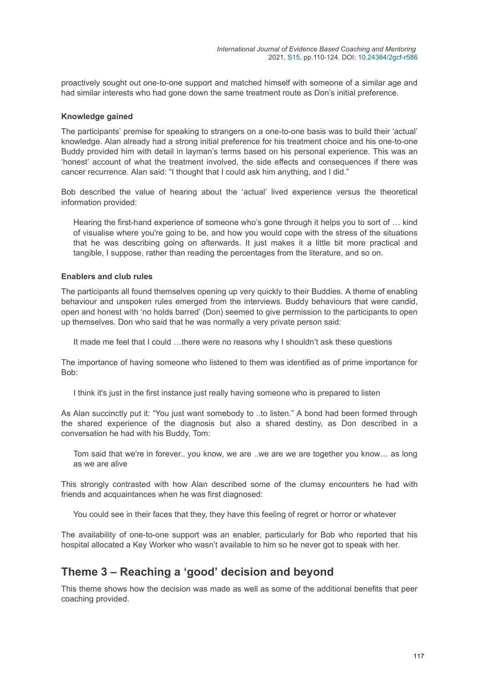proactively sought out one-to-one support and matched himself with someone of a similar age and had similar interests who had gone down the same treatment route as Don's initial preference.

#### **Knowledge gained**

The participants' premise for speaking to strangers on a one-to-one basis was to build their 'actual' knowledge. Alan already had a strong initial preference for his treatment choice and his one-to-one Buddy provided him with detail in layman's terms based on his personal experience. This was an 'honest' account of what the treatment involved, the side effects and consequences if there was cancer recurrence. Alan said: "I thought that I could ask him anything, and I did."

Bob described the value of hearing about the 'actual' lived experience versus the theoretical information provided:

Hearing the first-hand experience of someone who's gone through it helps you to sort of … kind of visualise where you're going to be, and how you would cope with the stress of the situations that he was describing going on afterwards. It just makes it a little bit more practical and tangible, I suppose, rather than reading the percentages from the literature, and so on.

#### **Enablers and club rules**

The participants all found themselves opening up very quickly to their Buddies. A theme of enabling behaviour and unspoken rules emerged from the interviews. Buddy behaviours that were candid, open and honest with 'no holds barred' (Don) seemed to give permission to the participants to open up themselves. Don who said that he was normally a very private person said:

It made me feel that I could ...there were no reasons why I shouldn't ask these questions

The importance of having someone who listened to them was identified as of prime importance for Bob:

I think it's just in the first instance just really having someone who is prepared to listen

As Alan succinctly put it: "You just want somebody to ..to listen." A bond had been formed through the shared experience of the diagnosis but also a shared destiny, as Don described in a conversation he had with his Buddy, Tom:

Tom said that we're in forever.. you know, we are ..we are we are together you know... as long as we are alive

This strongly contrasted with how Alan described some of the clumsy encounters he had with friends and acquaintances when he was first diagnosed:

You could see in their faces that they, they have this feeling of regret or horror or whatever

The availability of one-to-one support was an enabler, particularly for Bob who reported that his hospital allocated a Key Worker who wasn't available to him so he never got to speak with her.

## **Theme 3 – Reaching a 'good' decision and beyond**

This theme shows how the decision was made as well as some of the additional benefits that peer coaching provided.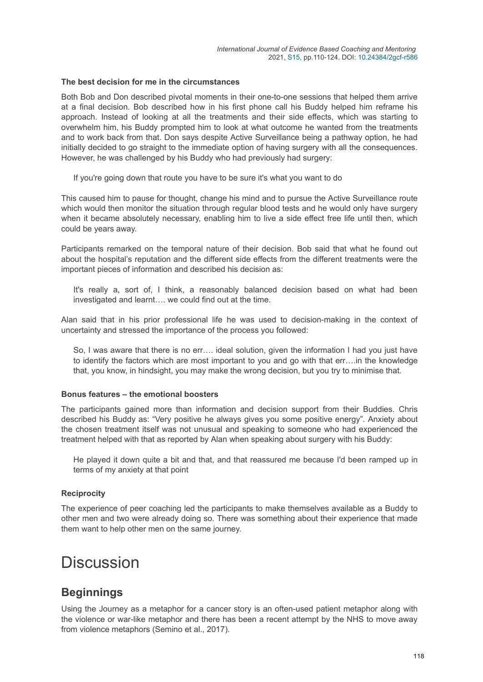#### **The best decision for me in the circumstances**

Both Bob and Don described pivotal moments in their one-to-one sessions that helped them arrive at a final decision. Bob described how in his first phone call his Buddy helped him reframe his approach. Instead of looking at all the treatments and their side effects, which was starting to overwhelm him, his Buddy prompted him to look at what outcome he wanted from the treatments and to work back from that. Don says despite Active Surveillance being a pathway option, he had initially decided to go straight to the immediate option of having surgery with all the consequences. However, he was challenged by his Buddy who had previously had surgery:

If you're going down that route you have to be sure it's what you want to do

This caused him to pause for thought, change his mind and to pursue the Active Surveillance route which would then monitor the situation through regular blood tests and he would only have surgery when it became absolutely necessary, enabling him to live a side effect free life until then, which could be years away.

Participants remarked on the temporal nature of their decision. Bob said that what he found out about the hospital's reputation and the different side effects from the different treatments were the important pieces of information and described his decision as:

It's really a, sort of, I think, a reasonably balanced decision based on what had been investigated and learnt…. we could find out at the time.

Alan said that in his prior professional life he was used to decision-making in the context of uncertainty and stressed the importance of the process you followed:

So, I was aware that there is no err…. ideal solution, given the information I had you just have to identify the factors which are most important to you and go with that err….in the knowledge that, you know, in hindsight, you may make the wrong decision, but you try to minimise that.

#### **Bonus features – the emotional boosters**

The participants gained more than information and decision support from their Buddies. Chris described his Buddy as: "Very positive he always gives you some positive energy". Anxiety about the chosen treatment itself was not unusual and speaking to someone who had experienced the treatment helped with that as reported by Alan when speaking about surgery with his Buddy:

He played it down quite a bit and that, and that reassured me because I'd been ramped up in terms of my anxiety at that point

#### **Reciprocity**

The experience of peer coaching led the participants to make themselves available as a Buddy to other men and two were already doing so. There was something about their experience that made them want to help other men on the same journey.

# **Discussion**

## **Beginnings**

Using the Journey as a metaphor for a cancer story is an often-used patient metaphor along with the violence or war-like metaphor and there has been a recent attempt by the NHS to move away from violence metaphors (Semino et al., 2017).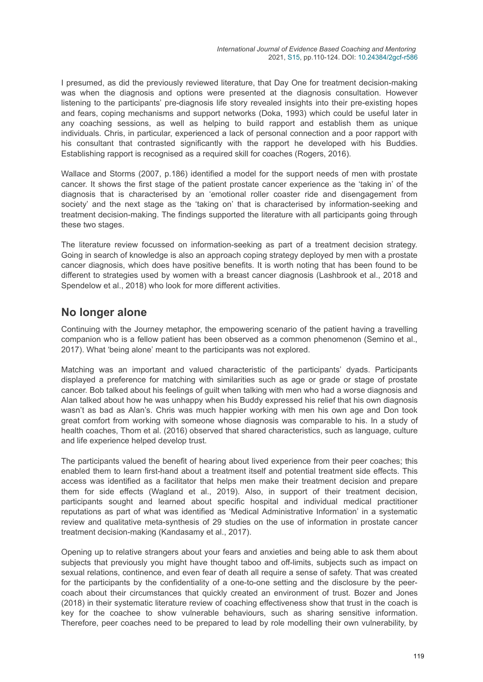I presumed, as did the previously reviewed literature, that Day One for treatment decision-making was when the diagnosis and options were presented at the diagnosis consultation. However listening to the participants' pre-diagnosis life story revealed insights into their pre-existing hopes and fears, coping mechanisms and support networks (Doka, 1993) which could be useful later in any coaching sessions, as well as helping to build rapport and establish them as unique individuals. Chris, in particular, experienced a lack of personal connection and a poor rapport with his consultant that contrasted significantly with the rapport he developed with his Buddies. Establishing rapport is recognised as a required skill for coaches (Rogers, 2016).

Wallace and Storms (2007, p.186) identified a model for the support needs of men with prostate cancer. It shows the first stage of the patient prostate cancer experience as the 'taking in' of the diagnosis that is characterised by an 'emotional roller coaster ride and disengagement from society' and the next stage as the 'taking on' that is characterised by information-seeking and treatment decision-making. The findings supported the literature with all participants going through these two stages.

The literature review focussed on information-seeking as part of a treatment decision strategy. Going in search of knowledge is also an approach coping strategy deployed by men with a prostate cancer diagnosis, which does have positive benefits. It is worth noting that has been found to be different to strategies used by women with a breast cancer diagnosis (Lashbrook et al., 2018 and Spendelow et al., 2018) who look for more different activities.

## **No longer alone**

Continuing with the Journey metaphor, the empowering scenario of the patient having a travelling companion who is a fellow patient has been observed as a common phenomenon (Semino et al., 2017). What 'being alone' meant to the participants was not explored.

Matching was an important and valued characteristic of the participants' dyads. Participants displayed a preference for matching with similarities such as age or grade or stage of prostate cancer. Bob talked about his feelings of guilt when talking with men who had a worse diagnosis and Alan talked about how he was unhappy when his Buddy expressed his relief that his own diagnosis wasn't as bad as Alan's. Chris was much happier working with men his own age and Don took great comfort from working with someone whose diagnosis was comparable to his. In a study of health coaches, Thom et al. (2016) observed that shared characteristics, such as language, culture and life experience helped develop trust.

The participants valued the benefit of hearing about lived experience from their peer coaches; this enabled them to learn first-hand about a treatment itself and potential treatment side effects. This access was identified as a facilitator that helps men make their treatment decision and prepare them for side effects (Wagland et al., 2019). Also, in support of their treatment decision, participants sought and learned about specific hospital and individual medical practitioner reputations as part of what was identified as 'Medical Administrative Information' in a systematic review and qualitative meta-synthesis of 29 studies on the use of information in prostate cancer treatment decision-making (Kandasamy et al., 2017).

Opening up to relative strangers about your fears and anxieties and being able to ask them about subjects that previously you might have thought taboo and off-limits, subjects such as impact on sexual relations, continence, and even fear of death all require a sense of safety. That was created for the participants by the confidentiality of a one-to-one setting and the disclosure by the peercoach about their circumstances that quickly created an environment of trust. Bozer and Jones (2018) in their systematic literature review of coaching effectiveness show that trust in the coach is key for the coachee to show vulnerable behaviours, such as sharing sensitive information. Therefore, peer coaches need to be prepared to lead by role modelling their own vulnerability, by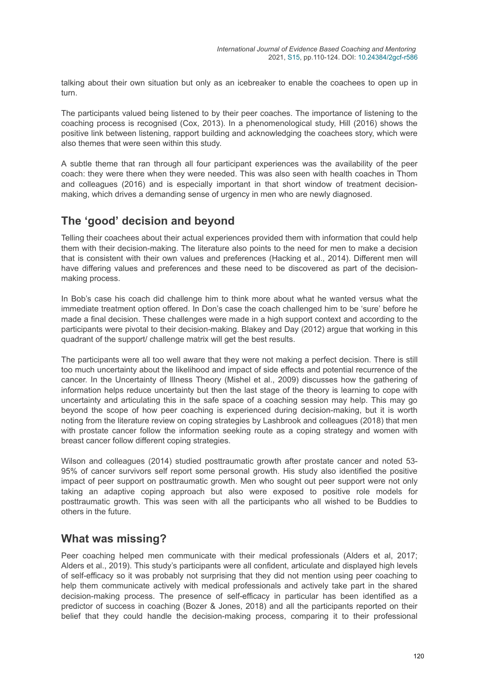talking about their own situation but only as an icebreaker to enable the coachees to open up in turn.

The participants valued being listened to by their peer coaches. The importance of listening to the coaching process is recognised (Cox, 2013). In a phenomenological study, Hill (2016) shows the positive link between listening, rapport building and acknowledging the coachees story, which were also themes that were seen within this study.

A subtle theme that ran through all four participant experiences was the availability of the peer coach: they were there when they were needed. This was also seen with health coaches in Thom and colleagues (2016) and is especially important in that short window of treatment decisionmaking, which drives a demanding sense of urgency in men who are newly diagnosed.

## **The 'good' decision and beyond**

Telling their coachees about their actual experiences provided them with information that could help them with their decision-making. The literature also points to the need for men to make a decision that is consistent with their own values and preferences (Hacking et al., 2014). Different men will have differing values and preferences and these need to be discovered as part of the decisionmaking process.

In Bob's case his coach did challenge him to think more about what he wanted versus what the immediate treatment option offered. In Don's case the coach challenged him to be 'sure' before he made a final decision. These challenges were made in a high support context and according to the participants were pivotal to their decision-making. Blakey and Day (2012) argue that working in this quadrant of the support/ challenge matrix will get the best results.

The participants were all too well aware that they were not making a perfect decision. There is still too much uncertainty about the likelihood and impact of side effects and potential recurrence of the cancer. In the Uncertainty of Illness Theory (Mishel et al., 2009) discusses how the gathering of information helps reduce uncertainty but then the last stage of the theory is learning to cope with uncertainty and articulating this in the safe space of a coaching session may help. This may go beyond the scope of how peer coaching is experienced during decision-making, but it is worth noting from the literature review on coping strategies by Lashbrook and colleagues (2018) that men with prostate cancer follow the information seeking route as a coping strategy and women with breast cancer follow different coping strategies.

Wilson and colleagues (2014) studied posttraumatic growth after prostate cancer and noted 53- 95% of cancer survivors self report some personal growth. His study also identified the positive impact of peer support on posttraumatic growth. Men who sought out peer support were not only taking an adaptive coping approach but also were exposed to positive role models for posttraumatic growth. This was seen with all the participants who all wished to be Buddies to others in the future.

#### **What was missing?**

Peer coaching helped men communicate with their medical professionals (Alders et al, 2017; Alders et al., 2019). This study's participants were all confident, articulate and displayed high levels of self-efficacy so it was probably not surprising that they did not mention using peer coaching to help them communicate actively with medical professionals and actively take part in the shared decision-making process. The presence of self-efficacy in particular has been identified as a predictor of success in coaching (Bozer & Jones, 2018) and all the participants reported on their belief that they could handle the decision-making process, comparing it to their professional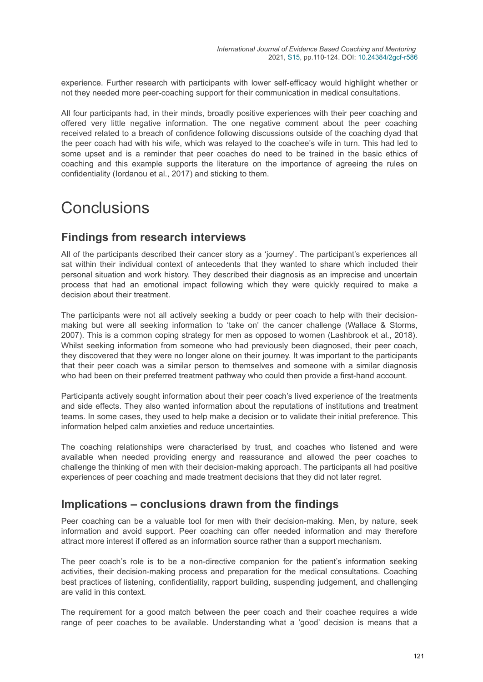experience. Further research with participants with lower self-efficacy would highlight whether or not they needed more peer-coaching support for their communication in medical consultations.

All four participants had, in their minds, broadly positive experiences with their peer coaching and offered very little negative information. The one negative comment about the peer coaching received related to a breach of confidence following discussions outside of the coaching dyad that the peer coach had with his wife, which was relayed to the coachee's wife in turn. This had led to some upset and is a reminder that peer coaches do need to be trained in the basic ethics of coaching and this example supports the literature on the importance of agreeing the rules on confidentiality (Iordanou et al., 2017) and sticking to them.

# Conclusions

## **Findings from research interviews**

All of the participants described their cancer story as a 'journey'. The participant's experiences all sat within their individual context of antecedents that they wanted to share which included their personal situation and work history. They described their diagnosis as an imprecise and uncertain process that had an emotional impact following which they were quickly required to make a decision about their treatment.

The participants were not all actively seeking a buddy or peer coach to help with their decisionmaking but were all seeking information to 'take on' the cancer challenge (Wallace & Storms, 2007). This is a common coping strategy for men as opposed to women (Lashbrook et al., 2018). Whilst seeking information from someone who had previously been diagnosed, their peer coach, they discovered that they were no longer alone on their journey. It was important to the participants that their peer coach was a similar person to themselves and someone with a similar diagnosis who had been on their preferred treatment pathway who could then provide a first-hand account.

Participants actively sought information about their peer coach's lived experience of the treatments and side effects. They also wanted information about the reputations of institutions and treatment teams. In some cases, they used to help make a decision or to validate their initial preference. This information helped calm anxieties and reduce uncertainties.

The coaching relationships were characterised by trust, and coaches who listened and were available when needed providing energy and reassurance and allowed the peer coaches to challenge the thinking of men with their decision-making approach. The participants all had positive experiences of peer coaching and made treatment decisions that they did not later regret.

## **Implications – conclusions drawn from the findings**

Peer coaching can be a valuable tool for men with their decision-making. Men, by nature, seek information and avoid support. Peer coaching can offer needed information and may therefore attract more interest if offered as an information source rather than a support mechanism.

The peer coach's role is to be a non-directive companion for the patient's information seeking activities, their decision-making process and preparation for the medical consultations. Coaching best practices of listening, confidentiality, rapport building, suspending judgement, and challenging are valid in this context.

The requirement for a good match between the peer coach and their coachee requires a wide range of peer coaches to be available. Understanding what a 'good' decision is means that a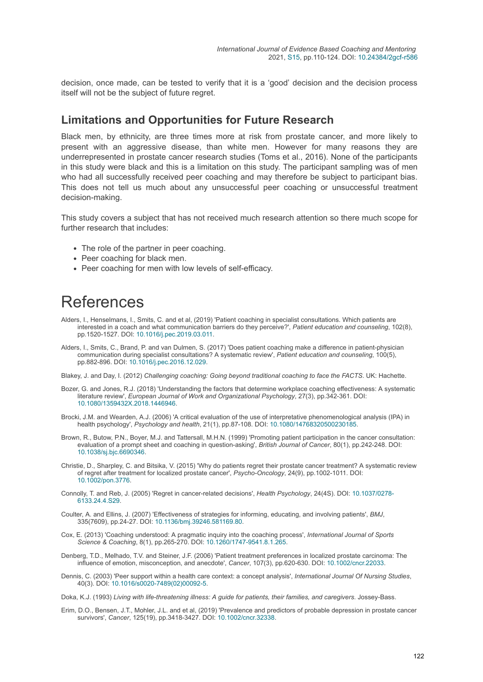decision, once made, can be tested to verify that it is a 'good' decision and the decision process itself will not be the subject of future regret.

### **Limitations and Opportunities for Future Research**

Black men, by ethnicity, are three times more at risk from prostate cancer, and more likely to present with an aggressive disease, than white men. However for many reasons they are underrepresented in prostate cancer research studies (Toms et al., 2016). None of the participants in this study were black and this is a limitation on this study. The participant sampling was of men who had all successfully received peer coaching and may therefore be subject to participant bias. This does not tell us much about any unsuccessful peer coaching or unsuccessful treatment decision-making.

This study covers a subject that has not received much research attention so there much scope for further research that includes:

- The role of the partner in peer coaching.
- Peer coaching for black men.
- Peer coaching for men with low levels of self-efficacy.

# **References**

- Alders, I., Henselmans, I., Smits, C. and et al, (2019) 'Patient coaching in specialist consultations. Which patients are interested in a coach and what communication barriers do they perceive?', *Patient education and counseling*, 102(8), pp.1520-1527. DOI: [10.1016/j.pec.2019.03.011](https://doi.org/10.1016/j.pec.2019.03.011).
- Alders, I., Smits, C., Brand, P. and van Dulmen, S. (2017) 'Does patient coaching make a difference in patient-physician communication during specialist consultations? A systematic review', *Patient education and counseling*, 100(5), pp.882-896. DOI: [10.1016/j.pec.2016.12.029.](https://doi.org/10.1016/j.pec.2016.12.029)

Blakey, J. and Day, I. (2012) *Challenging coaching: Going beyond traditional coaching to face the FACTS*. UK: Hachette.

- Bozer, G. and Jones, R.J. (2018) 'Understanding the factors that determine workplace coaching effectiveness: A systematic literature review', *European Journal of Work and Organizational Psychology*, 27(3), pp.342-361. DOI: [10.1080/1359432X.2018.1446946](https://doi.org/10.1080/1359432X.2018.1446946).
- Brocki, J.M. and Wearden, A.J. (2006) 'A critical evaluation of the use of interpretative phenomenological analysis (IPA) in health psychology', *Psychology and health*, 21(1), pp.87-108. DOI: [10.1080/14768320500230185.](https://doi.org/10.1080/14768320500230185)
- Brown, R., Butow, P.N., Boyer, M.J. and Tattersall, M.H.N. (1999) 'Promoting patient participation in the cancer consultation: evaluation of a prompt sheet and coaching in question-asking', *British Journal of Cancer*, 80(1), pp.242-248. DOI: [10.1038/sj.bjc.6690346](https://doi.org/10.1038/sj.bjc.6690346).
- Christie, D., Sharpley, C. and Bitsika, V. (2015) 'Why do patients regret their prostate cancer treatment? A systematic review of regret after treatment for localized prostate cancer', *Psycho-Oncology*, 24(9), pp.1002-1011. DOI: [10.1002/pon.3776](https://doi.org/10.1002/pon.3776).
- Conn[olly, T. and Reb, J. \(2005\) 'Regret in cancer-related decisions',](https://doi.org/10.1037/0278-6133.24.4.S29) *Health Psychology*, 24(4S). DOI: 10.1037/0278- 6133.24.4.S29.
- Coulter, A. and Ellins, J. (2007) 'Effectiveness of strategies for informing, educating, and involving patients', *BMJ*, 335(7609), pp.24-27. DOI: [10.1136/bmj.39246.581169.80](https://doi.org/10.1136/bmj.39246.581169.80).
- Cox, E. (2013) 'Coaching understood: A pragmatic inquiry into the coaching process', *International Journal of Sports Science & Coaching*, 8(1), pp.265-270. DOI: [10.1260/1747-9541.8.1.265](https://doi.org/10.1260/1747-9541.8.1.265).
- Denberg, T.D., Melhado, T.V. and Steiner, J.F. (2006) 'Patient treatment preferences in localized prostate carcinoma: The influence of emotion, misconception, and anecdote', *Cancer*, 107(3), pp.620-630. DOI: [10.1002/cncr.22033](https://doi.org/10.1002/cncr.22033).
- Dennis, C. (2003) 'Peer support within a health care context: a concept analysis', *International Journal Of Nursing Studies*, 40(3). DOI: [10.1016/s0020-7489\(02\)00092-5](https://doi.org/10.1016/s0020-7489(02)00092-5).

Doka, K.J. (1993) *Living with life-threatening illness: A guide for patients, their families, and caregivers*. Jossey-Bass.

Erim, D.O., Bensen, J.T., Mohler, J.L. and et al, (2019) 'Prevalence and predictors of probable depression in prostate cancer survivors', *Cancer*, 125(19), pp.3418-3427. DOI: [10.1002/cncr.32338](https://doi.org/10.1002/cncr.32338).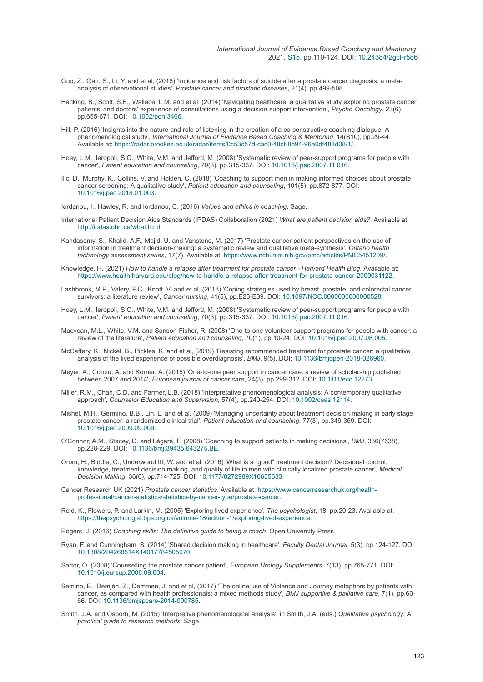- Guo, Z., Gan, S., Li, Y. and et al, (2018) 'Incidence and risk factors of suicide after a prostate cancer diagnosis: a metaanalysis of observational studies', *Prostate cancer and prostatic diseases*, 21(4), pp.499-508.
- Hacking, B., Scott, S.E., Wallace, L.M. and et al, (2014) 'Navigating healthcare: a qualitative study exploring prostate cancer patients' and doctors' experience of consultations using a decision‐support intervention', *Psycho‐Oncology*, 23(6), pp.665-671. DOI: [10.1002/pon.3466](https://doi.org/10.1002/pon.3466).
- Hill, P. (2016) 'Insights into the nature and role of listening in the creation of a co-constructive coaching dialogue: A phenomenological study', *International Journal of Evidence Based Coaching & Mentoring*, 14(S10), pp.29-44. Available at:<https://radar.brookes.ac.uk/radar/items/0c53c57d-cac0-48cf-8b94-96a0df488d08/1/>.
- Hoey, L.M., Ieropoli, S.C., White, V.M. and Jefford, M. (2008) 'Systematic review of peer-support programs for people with cancer', *Patient education and counseling*, 70(3), pp.315-337. DOI: [10.1016/j.pec.2007.11.016](https://doi.org/10.1016/j.pec.2007.11.016).
- Ilic, D., Murphy, K., Collins, V. and Holden, C. (2018) 'Coaching to support men in making informed choices about prostate cancer screening: A qualitative study', *Patient education and counseling*, 101(5), pp.872-877. DOI: [10.1016/j.pec.2018.01.003](https://doi.org/10.1016/j.pec.2018.01.003).

Iordanou, I., Hawley, R. and Iordanou, C. (2016) *Values and ethics in coaching*. Sage.

- International Patient Decision Aids Standards (IPDAS) Collaboration (2021) *What are patient decision aids?*. Available at: <http://ipdas.ohri.ca/what.html>.
- Kandasamy, S., Khalid, A.F., Majid, U. and Vanstone, M. (2017) 'Prostate cancer patient perspectives on the use of information in treatment decision-making: a systematic review and qualitative meta-synthesis', *Ontario health technology assessment series*, 17(7). Available at: <https://www.ncbi.nlm.nih.gov/pmc/articles/PMC5451209/>.
- Knowledge, H. (2021) *How to handle a relapse after treatment for prostate cancer Harvard Health Blog*. Available at: <https://www.health.harvard.edu/blog/how-to-handle-a-relapse-after-treatment-for-prostate-cancer-2009031122>.
- Lashbrook, M.P., Valery, P.C., Knott, V. and et al, (2018) 'Coping strategies used by breast, prostate, and colorectal cancer survivors: a literature review', *Cancer nursing*, 41(5), pp.E23-E39. DOI: [10.1097/NCC.0000000000000528](https://doi.org/10.1097/NCC.0000000000000528).
- Hoey, L.M., Ieropoli, S.C., White, V.M. and Jefford, M. (2008) 'Systematic review of peer-support programs for people with cancer', *Patient education and counseling*, 70(3), pp.315-337. DOI: [10.1016/j.pec.2007.11.016](https://doi.org/10.1016/j.pec.2007.11.016).
- Macvean, M.L., White, V.M. and Sanson-Fisher, R. (2008) 'One-to-one volunteer support programs for people with cancer: a review of the literature', *Patient education and counseling*, 70(1), pp.10-24. DOI: [10.1016/j.pec.2007.08.005](https://doi.org/10.1016/j.pec.2007.08.005).
- McCaffery, K., Nickel, B., Pickles, K. and et al, (2019) 'Resisting recommended treatment for prostate cancer: a qualitative analysis of the lived experience of possible overdiagnosis', *BMJ*, 9(5). DOI: [10.1136/bmjopen-2018-026960](https://doi.org/10.1136/bmjopen-2018-026960).
- Meyer, A., Coroiu, A. and Korner, A. (2015) 'One‐to‐one peer support in cancer care: a review of scholarship published between 2007 and 2014', *European journal of cancer care*, 24(3), pp.299-312. DOI: [10.1111/ecc.12273](https://doi.org/10.1111/ecc.12273).
- Miller, R.M., Chan, C.D. and Farmer, L.B. (2018) 'Interpretative phenomenological analysis: A contemporary qualitative approach', *Counselor Education and Supervision*, 57(4), pp.240-254. DOI: [10.1002/ceas.12114.](https://doi.org/10.1002/ceas.12114)
- Mishel, M.H., Germino, B.B., Lin, L. and et al, (2009) 'Managing uncertainty about treatment decision making in early stage prostate cancer: a randomized clinical trial', *Patient education and counseling*, 77(3), pp.349-359. DOI: [10.1016/j.pec.2009.09.009](https://doi.org/10.1016/j.pec.2009.09.009).
- O'Connor, A.M., Stacey, D. and Légaré, F. (2008) 'Coaching to support patients in making decisions', *BMJ*, 336(7638), pp.228-229. DOI: [10.1136/bmj.39435.643275.BE.](https://doi.org/10.1136/bmj.39435.643275.BE)
- Orom, H., Biddle, C., Underwood III, W. and et al, (2016) 'What is a "good" treatment decision? Decisional control, knowledge, treatment decision making, and quality of life in men with clinically localized prostate cancer', *Medical Decision Making*, 36(6), pp.714-725. DOI: [10.1177/0272989X16635633.](https://doi.org/10.1177/0272989X16635633)
- Cancer Research UK (2021) *Prostate cancer statistics*. Available at: https://www.cancerresearchuk.org/health[professional/cancer-statistics/statistics-by-cancer-type/prostate-cancer.](https://www.cancerresearchuk.org/health-professional/cancer-statistics/statistics-by-cancer-type/prostate-cancer)
- Reid, K., Flowers, P. and Larkin, M. (2005) 'Exploring lived experience', *The psychologist*, 18, pp.20-23. Available at: <https://thepsychologist.bps.org.uk/volume-18/edition-1/exploring-lived-experience>.

Rogers, J. (2016) *Coaching skills: The definitive guide to being a coach*. Open University Press.

- Ryan, F. and Cunningham, S. (2014) 'Shared decision making in healthcare', *Faculty Dental Journal*, 5(3), pp.124-127. DOI: [10.1308/204268514X14017784505970](https://doi.org/10.1308/204268514X14017784505970).
- Sartor, O. (2008) 'Counselling the prostate cancer patient', *European Urology Supplements*, 7(13), pp.765-771. DOI: [10.1016/j.eursup.2008.09.004.](https://doi.org/10.1016/j.eursup.2008.09.004)
- Semino, E., Demjén, Z., Demmen, J. and et al, (2017) 'The online use of Violence and Journey metaphors by patients with cancer, as compared with health professionals: a mixed methods study', *BMJ supportive & palliative care*, 7(1), pp.60- 66. DOI: [10.1136/bmjspcare-2014-000785.](https://doi.org/10.1136/bmjspcare-2014-000785)
- Smith, J.A. and Osborn, M. (2015) 'Interpretive phenomenological analysis', in Smith, J.A. (eds.) *Qualitative psychology: A practical guide to research methods*. Sage.